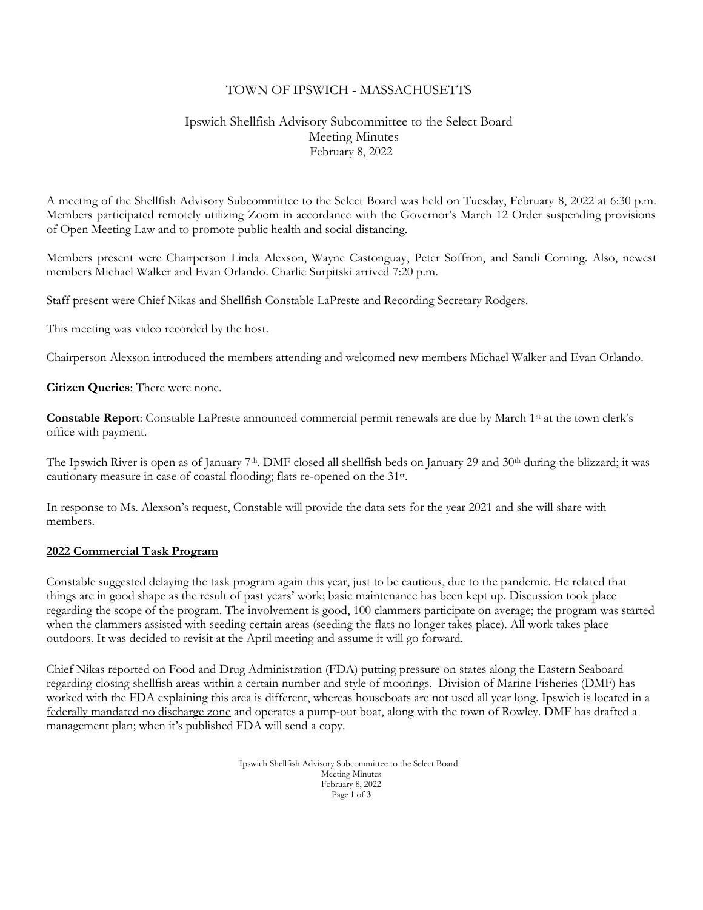### TOWN OF IPSWICH - MASSACHUSETTS

# Ipswich Shellfish Advisory Subcommittee to the Select Board Meeting Minutes February 8, 2022

A meeting of the Shellfish Advisory Subcommittee to the Select Board was held on Tuesday, February 8, 2022 at 6:30 p.m. Members participated remotely utilizing Zoom in accordance with the Governor's March 12 Order suspending provisions of Open Meeting Law and to promote public health and social distancing.

Members present were Chairperson Linda Alexson, Wayne Castonguay, Peter Soffron, and Sandi Corning. Also, newest members Michael Walker and Evan Orlando. Charlie Surpitski arrived 7:20 p.m.

Staff present were Chief Nikas and Shellfish Constable LaPreste and Recording Secretary Rodgers.

This meeting was video recorded by the host.

Chairperson Alexson introduced the members attending and welcomed new members Michael Walker and Evan Orlando.

**Citizen Queries**: There were none.

**Constable Report**: Constable LaPreste announced commercial permit renewals are due by March 1st at the town clerk's office with payment.

The Ipswich River is open as of January 7<sup>th</sup>. DMF closed all shellfish beds on January 29 and  $30<sup>th</sup>$  during the blizzard; it was cautionary measure in case of coastal flooding; flats re-opened on the 31st .

In response to Ms. Alexson's request, Constable will provide the data sets for the year 2021 and she will share with members.

#### **2022 Commercial Task Program**

Constable suggested delaying the task program again this year, just to be cautious, due to the pandemic. He related that things are in good shape as the result of past years' work; basic maintenance has been kept up. Discussion took place regarding the scope of the program. The involvement is good, 100 clammers participate on average; the program was started when the clammers assisted with seeding certain areas (seeding the flats no longer takes place). All work takes place outdoors. It was decided to revisit at the April meeting and assume it will go forward.

Chief Nikas reported on Food and Drug Administration (FDA) putting pressure on states along the Eastern Seaboard regarding closing shellfish areas within a certain number and style of moorings. Division of Marine Fisheries (DMF) has worked with the FDA explaining this area is different, whereas houseboats are not used all year long. Ipswich is located in a federally mandated no discharge zone and operates a pump-out boat, along with the town of Rowley. DMF has drafted a management plan; when it's published FDA will send a copy.

> Ipswich Shellfish Advisory Subcommittee to the Select Board Meeting Minutes February 8, 2022 Page **1** of **3**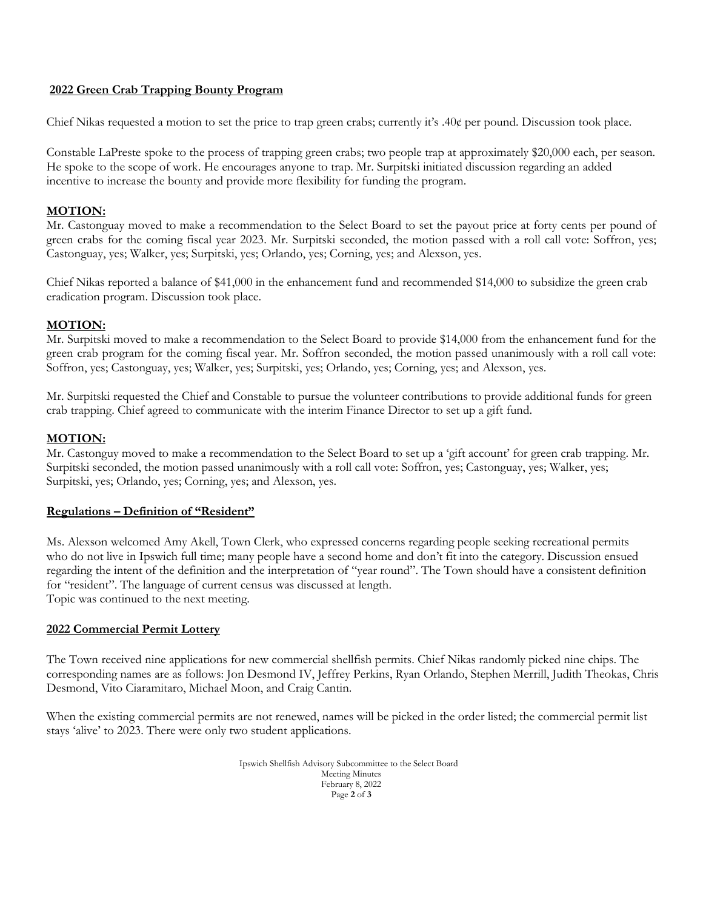#### **2022 Green Crab Trapping Bounty Program**

Chief Nikas requested a motion to set the price to trap green crabs; currently it's .40¢ per pound. Discussion took place.

Constable LaPreste spoke to the process of trapping green crabs; two people trap at approximately \$20,000 each, per season. He spoke to the scope of work. He encourages anyone to trap. Mr. Surpitski initiated discussion regarding an added incentive to increase the bounty and provide more flexibility for funding the program.

### **MOTION:**

Mr. Castonguay moved to make a recommendation to the Select Board to set the payout price at forty cents per pound of green crabs for the coming fiscal year 2023. Mr. Surpitski seconded, the motion passed with a roll call vote: Soffron, yes; Castonguay, yes; Walker, yes; Surpitski, yes; Orlando, yes; Corning, yes; and Alexson, yes.

Chief Nikas reported a balance of \$41,000 in the enhancement fund and recommended \$14,000 to subsidize the green crab eradication program. Discussion took place.

## **MOTION:**

Mr. Surpitski moved to make a recommendation to the Select Board to provide \$14,000 from the enhancement fund for the green crab program for the coming fiscal year. Mr. Soffron seconded, the motion passed unanimously with a roll call vote: Soffron, yes; Castonguay, yes; Walker, yes; Surpitski, yes; Orlando, yes; Corning, yes; and Alexson, yes.

Mr. Surpitski requested the Chief and Constable to pursue the volunteer contributions to provide additional funds for green crab trapping. Chief agreed to communicate with the interim Finance Director to set up a gift fund.

### **MOTION:**

Mr. Castonguy moved to make a recommendation to the Select Board to set up a 'gift account' for green crab trapping. Mr. Surpitski seconded, the motion passed unanimously with a roll call vote: Soffron, yes; Castonguay, yes; Walker, yes; Surpitski, yes; Orlando, yes; Corning, yes; and Alexson, yes.

### **Regulations – Definition of "Resident"**

Ms. Alexson welcomed Amy Akell, Town Clerk, who expressed concerns regarding people seeking recreational permits who do not live in Ipswich full time; many people have a second home and don't fit into the category. Discussion ensued regarding the intent of the definition and the interpretation of "year round". The Town should have a consistent definition for "resident". The language of current census was discussed at length. Topic was continued to the next meeting.

### **2022 Commercial Permit Lottery**

The Town received nine applications for new commercial shellfish permits. Chief Nikas randomly picked nine chips. The corresponding names are as follows: Jon Desmond IV, Jeffrey Perkins, Ryan Orlando, Stephen Merrill, Judith Theokas, Chris Desmond, Vito Ciaramitaro, Michael Moon, and Craig Cantin.

When the existing commercial permits are not renewed, names will be picked in the order listed; the commercial permit list stays 'alive' to 2023. There were only two student applications.

> Ipswich Shellfish Advisory Subcommittee to the Select Board Meeting Minutes February 8, 2022 Page **2** of **3**